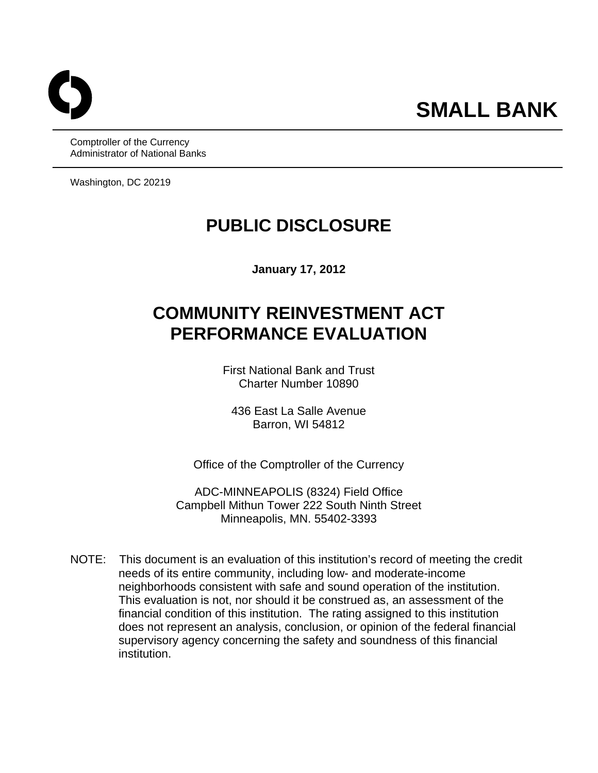Comptroller of the Currency Administrator of National Banks

Washington, DC 20219

## **PUBLIC DISCLOSURE**

**January 17, 2012** 

# **COMMUNITY REINVESTMENT ACT PERFORMANCE EVALUATION**

First National Bank and Trust Charter Number 10890

436 East La Salle Avenue Barron, WI 54812

Office of the Comptroller of the Currency

ADC-MINNEAPOLIS (8324) Field Office Campbell Mithun Tower 222 South Ninth Street Minneapolis, MN. 55402-3393

NOTE: This document is an evaluation of this institution's record of meeting the credit needs of its entire community, including low- and moderate-income neighborhoods consistent with safe and sound operation of the institution. This evaluation is not, nor should it be construed as, an assessment of the financial condition of this institution. The rating assigned to this institution does not represent an analysis, conclusion, or opinion of the federal financial supervisory agency concerning the safety and soundness of this financial institution.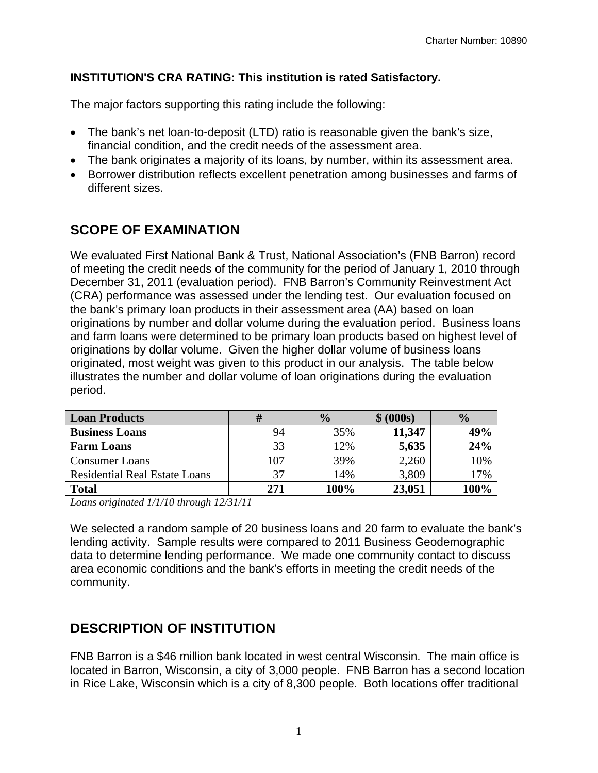#### **INSTITUTION'S CRA RATING: This institution is rated Satisfactory.**

The major factors supporting this rating include the following:

- The bank's net loan-to-deposit (LTD) ratio is reasonable given the bank's size, financial condition, and the credit needs of the assessment area.
- The bank originates a majority of its loans, by number, within its assessment area.
- Borrower distribution reflects excellent penetration among businesses and farms of different sizes.

### **SCOPE OF EXAMINATION**

We evaluated First National Bank & Trust, National Association's (FNB Barron) record of meeting the credit needs of the community for the period of January 1, 2010 through December 31, 2011 (evaluation period). FNB Barron's Community Reinvestment Act (CRA) performance was assessed under the lending test. Our evaluation focused on the bank's primary loan products in their assessment area (AA) based on loan originations by number and dollar volume during the evaluation period. Business loans and farm loans were determined to be primary loan products based on highest level of originations by dollar volume. Given the higher dollar volume of business loans originated, most weight was given to this product in our analysis. The table below illustrates the number and dollar volume of loan originations during the evaluation period.

| <b>Loan Products</b>                 |     | $\frac{0}{0}$ | \$ (000s) | $\frac{0}{0}$ |
|--------------------------------------|-----|---------------|-----------|---------------|
| <b>Business Loans</b>                | 94  | 35%           | 11,347    | 49%           |
| <b>Farm Loans</b>                    | 33  | 12%           | 5,635     | 24%           |
| <b>Consumer Loans</b>                | 107 | 39%           | 2,260     | 10%           |
| <b>Residential Real Estate Loans</b> | 37  | 14%           | 3,809     | 17%           |
| <b>Total</b>                         | 271 | 100%          | 23,051    | 100%          |

*Loans originated 1/1/10 through 12/31/11* 

We selected a random sample of 20 business loans and 20 farm to evaluate the bank's lending activity. Sample results were compared to 2011 Business Geodemographic data to determine lending performance. We made one community contact to discuss area economic conditions and the bank's efforts in meeting the credit needs of the community.

### **DESCRIPTION OF INSTITUTION**

FNB Barron is a \$46 million bank located in west central Wisconsin. The main office is located in Barron, Wisconsin, a city of 3,000 people. FNB Barron has a second location in Rice Lake, Wisconsin which is a city of 8,300 people. Both locations offer traditional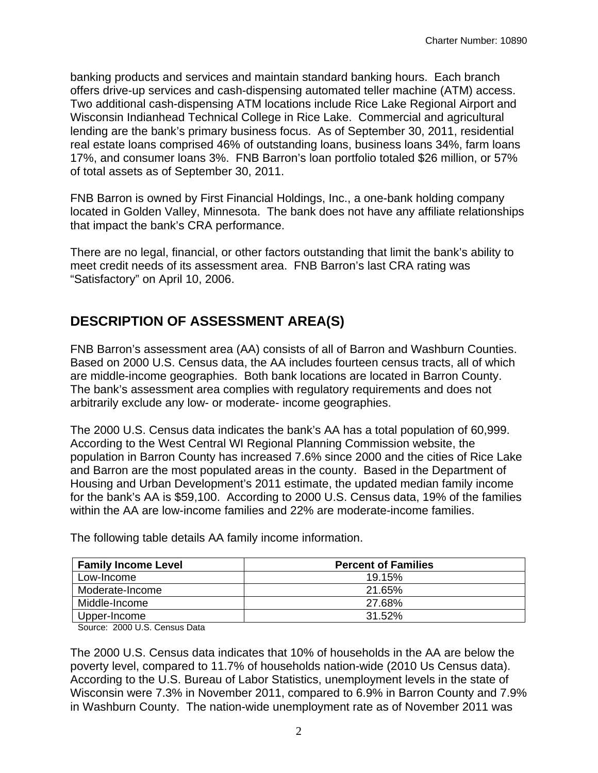banking products and services and maintain standard banking hours. Each branch offers drive-up services and cash-dispensing automated teller machine (ATM) access. Two additional cash-dispensing ATM locations include Rice Lake Regional Airport and Wisconsin Indianhead Technical College in Rice Lake. Commercial and agricultural lending are the bank's primary business focus. As of September 30, 2011, residential real estate loans comprised 46% of outstanding loans, business loans 34%, farm loans 17%, and consumer loans 3%. FNB Barron's loan portfolio totaled \$26 million, or 57% of total assets as of September 30, 2011.

FNB Barron is owned by First Financial Holdings, Inc., a one-bank holding company located in Golden Valley, Minnesota. The bank does not have any affiliate relationships that impact the bank's CRA performance.

There are no legal, financial, or other factors outstanding that limit the bank's ability to meet credit needs of its assessment area. FNB Barron's last CRA rating was "Satisfactory" on April 10, 2006.

### **DESCRIPTION OF ASSESSMENT AREA(S)**

FNB Barron's assessment area (AA) consists of all of Barron and Washburn Counties. Based on 2000 U.S. Census data, the AA includes fourteen census tracts, all of which are middle-income geographies. Both bank locations are located in Barron County. The bank's assessment area complies with regulatory requirements and does not arbitrarily exclude any low- or moderate- income geographies.

The 2000 U.S. Census data indicates the bank's AA has a total population of 60,999. According to the West Central WI Regional Planning Commission website, the population in Barron County has increased 7.6% since 2000 and the cities of Rice Lake and Barron are the most populated areas in the county. Based in the Department of Housing and Urban Development's 2011 estimate, the updated median family income for the bank's AA is \$59,100. According to 2000 U.S. Census data, 19% of the families within the AA are low-income families and 22% are moderate-income families.

| <b>Family Income Level</b> | <b>Percent of Families</b> |
|----------------------------|----------------------------|
| Low-Income                 | 19.15%                     |
| Moderate-Income            | 21.65%                     |
| Middle-Income              | 27.68%                     |
| Upper-Income               | 31.52%                     |

The following table details AA family income information.

Source: 2000 U.S. Census Data

The 2000 U.S. Census data indicates that 10% of households in the AA are below the poverty level, compared to 11.7% of households nation-wide (2010 Us Census data). According to the U.S. Bureau of Labor Statistics, unemployment levels in the state of Wisconsin were 7.3% in November 2011, compared to 6.9% in Barron County and 7.9% in Washburn County. The nation-wide unemployment rate as of November 2011 was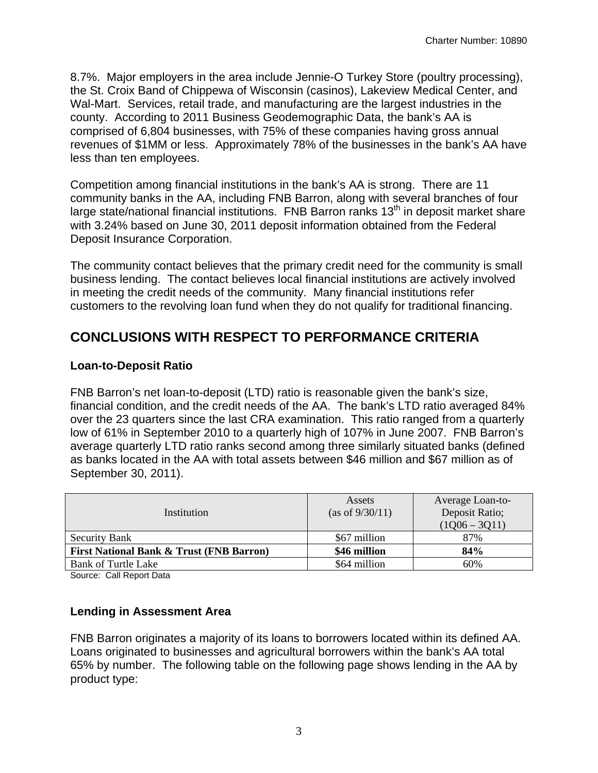8.7%. Major employers in the area include Jennie-O Turkey Store (poultry processing), the St. Croix Band of Chippewa of Wisconsin (casinos), Lakeview Medical Center, and Wal-Mart. Services, retail trade, and manufacturing are the largest industries in the county. According to 2011 Business Geodemographic Data, the bank's AA is comprised of 6,804 businesses, with 75% of these companies having gross annual revenues of \$1MM or less. Approximately 78% of the businesses in the bank's AA have less than ten employees.

Competition among financial institutions in the bank's AA is strong. There are 11 community banks in the AA, including FNB Barron, along with several branches of four large state/national financial institutions. FNB Barron ranks  $13<sup>th</sup>$  in deposit market share with 3.24% based on June 30, 2011 deposit information obtained from the Federal Deposit Insurance Corporation.

The community contact believes that the primary credit need for the community is small business lending. The contact believes local financial institutions are actively involved in meeting the credit needs of the community. Many financial institutions refer customers to the revolving loan fund when they do not qualify for traditional financing.

### **CONCLUSIONS WITH RESPECT TO PERFORMANCE CRITERIA**

#### **Loan-to-Deposit Ratio**

FNB Barron's net loan-to-deposit (LTD) ratio is reasonable given the bank's size, financial condition, and the credit needs of the AA. The bank's LTD ratio averaged 84% over the 23 quarters since the last CRA examination. This ratio ranged from a quarterly low of 61% in September 2010 to a quarterly high of 107% in June 2007. FNB Barron's average quarterly LTD ratio ranks second among three similarly situated banks (defined as banks located in the AA with total assets between \$46 million and \$67 million as of September 30, 2011).

| Institution                                         | Assets<br>(as of 9/30/11) | Average Loan-to-<br>Deposit Ratio;<br>$(1Q06 - 3Q11)$ |
|-----------------------------------------------------|---------------------------|-------------------------------------------------------|
| <b>Security Bank</b>                                | \$67 million              | 87%                                                   |
| <b>First National Bank &amp; Trust (FNB Barron)</b> | \$46 million              | 84%                                                   |
| <b>Bank of Turtle Lake</b>                          | \$64 million              | 60%                                                   |

Source: Call Report Data

#### **Lending in Assessment Area**

FNB Barron originates a majority of its loans to borrowers located within its defined AA. Loans originated to businesses and agricultural borrowers within the bank's AA total 65% by number. The following table on the following page shows lending in the AA by product type: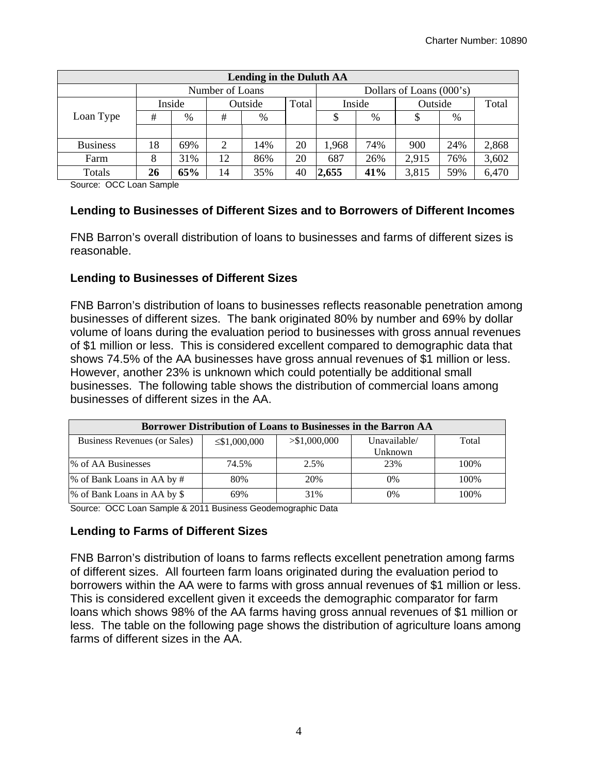| <b>Lending in the Duluth AA</b> |                 |        |                  |      |                          |       |         |       |       |       |
|---------------------------------|-----------------|--------|------------------|------|--------------------------|-------|---------|-------|-------|-------|
|                                 | Number of Loans |        |                  |      | Dollars of Loans (000's) |       |         |       |       |       |
|                                 |                 | Inside | Total<br>Outside |      | Inside                   |       | Outside |       | Total |       |
| Loan Type                       | #               | %      | #                | $\%$ |                          |       | %       |       | %     |       |
|                                 |                 |        |                  |      |                          |       |         |       |       |       |
| <b>Business</b>                 | 18              | 69%    | 2                | 14%  | 20                       | 1,968 | 74%     | 900   | 24%   | 2,868 |
| Farm                            | 8               | 31%    | 12               | 86%  | 20                       | 687   | 26%     | 2,915 | 76%   | 3,602 |
| Totals                          | 26              | 65%    | 14               | 35%  | 40                       | 2,655 | 41%     | 3,815 | 59%   | 6,470 |

Source: OCC Loan Sample

#### **Lending to Businesses of Different Sizes and to Borrowers of Different Incomes**

FNB Barron's overall distribution of loans to businesses and farms of different sizes is reasonable.

#### **Lending to Businesses of Different Sizes**

FNB Barron's distribution of loans to businesses reflects reasonable penetration among businesses of different sizes. The bank originated 80% by number and 69% by dollar volume of loans during the evaluation period to businesses with gross annual revenues of \$1 million or less. This is considered excellent compared to demographic data that shows 74.5% of the AA businesses have gross annual revenues of \$1 million or less. However, another 23% is unknown which could potentially be additional small businesses. The following table shows the distribution of commercial loans among businesses of different sizes in the AA.

| Borrower Distribution of Loans to Businesses in the Barron AA |                    |               |              |       |  |  |
|---------------------------------------------------------------|--------------------|---------------|--------------|-------|--|--|
| Business Revenues (or Sales)                                  | $\leq$ \$1,000,000 | > \$1,000,000 | Unavailable/ | Total |  |  |
|                                                               |                    |               | Unknown      |       |  |  |
| <b>% of AA Businesses</b>                                     | 74.5%              | 2.5%          | 23%          | 100\% |  |  |
| % of Bank Loans in AA by #                                    | 80%                | 20%           | 0%           | 100%  |  |  |
| % of Bank Loans in AA by \$                                   | 69%                | 31%           | 0%           | 100\% |  |  |

Source: OCC Loan Sample & 2011 Business Geodemographic Data

#### **Lending to Farms of Different Sizes**

FNB Barron's distribution of loans to farms reflects excellent penetration among farms of different sizes. All fourteen farm loans originated during the evaluation period to borrowers within the AA were to farms with gross annual revenues of \$1 million or less. This is considered excellent given it exceeds the demographic comparator for farm loans which shows 98% of the AA farms having gross annual revenues of \$1 million or less. The table on the following page shows the distribution of agriculture loans among farms of different sizes in the AA.